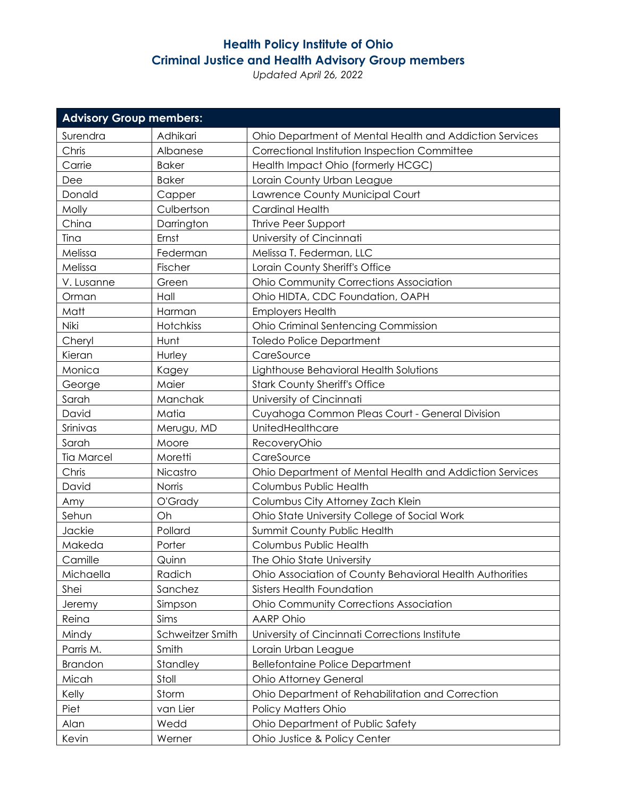## **Health Policy Institute of Ohio Criminal Justice and Health Advisory Group members**

*Updated April 26, 2022*

| <b>Advisory Group members:</b> |                  |                                                          |  |
|--------------------------------|------------------|----------------------------------------------------------|--|
| Surendra                       | Adhikari         | Ohio Department of Mental Health and Addiction Services  |  |
| Chris                          | Albanese         | Correctional Institution Inspection Committee            |  |
| Carrie                         | <b>Baker</b>     | Health Impact Ohio (formerly HCGC)                       |  |
| Dee                            | <b>Baker</b>     | Lorain County Urban League                               |  |
| Donald                         | Capper           | Lawrence County Municipal Court                          |  |
| Molly                          | Culbertson       | <b>Cardinal Health</b>                                   |  |
| China                          | Darrington       | Thrive Peer Support                                      |  |
| Tina                           | Ernst            | University of Cincinnati                                 |  |
| Melissa                        | Federman         | Melissa T. Federman, LLC                                 |  |
| Melissa                        | Fischer          | Lorain County Sheriff's Office                           |  |
| V. Lusanne                     | Green            | <b>Ohio Community Corrections Association</b>            |  |
| Orman                          | Hall             | Ohio HIDTA, CDC Foundation, OAPH                         |  |
| Matt                           | Harman           | <b>Employers Health</b>                                  |  |
| Niki                           | Hotchkiss        | <b>Ohio Criminal Sentencing Commission</b>               |  |
| Cheryl                         | Hunt             | <b>Toledo Police Department</b>                          |  |
| Kieran                         | Hurley           | CareSource                                               |  |
| Monica                         | Kagey            | Lighthouse Behavioral Health Solutions                   |  |
| George                         | Maier            | <b>Stark County Sheriff's Office</b>                     |  |
| Sarah                          | Manchak          | University of Cincinnati                                 |  |
| David                          | Matia            | Cuyahoga Common Pleas Court - General Division           |  |
| Srinivas                       | Merugu, MD       | UnitedHealthcare                                         |  |
| Sarah                          | Moore            | RecoveryOhio                                             |  |
| <b>Tia Marcel</b>              | Moretti          | CareSource                                               |  |
| Chris                          | Nicastro         | Ohio Department of Mental Health and Addiction Services  |  |
| David                          | Norris           | Columbus Public Health                                   |  |
| Amy                            | O'Grady          | Columbus City Attorney Zach Klein                        |  |
| Sehun                          | Oh               | Ohio State University College of Social Work             |  |
| Jackie                         | Pollard          | Summit County Public Health                              |  |
| Makeda                         | Porter           | Columbus Public Health                                   |  |
| Camille                        | Quinn            | The Ohio State University                                |  |
| Michaella                      | Radich           | Ohio Association of County Behavioral Health Authorities |  |
| Shei                           | Sanchez          | <b>Sisters Health Foundation</b>                         |  |
| <b>Jeremy</b>                  | Simpson          | <b>Ohio Community Corrections Association</b>            |  |
| Reina                          | Sims             | <b>AARP Ohio</b>                                         |  |
| Mindy                          | Schweitzer Smith | University of Cincinnati Corrections Institute           |  |
| Parris M.                      | Smith            | Lorain Urban League                                      |  |
| Brandon                        | Standley         | <b>Bellefontaine Police Department</b>                   |  |
| Micah                          | Stoll            | <b>Ohio Attorney General</b>                             |  |
| Kelly                          | Storm            | Ohio Department of Rehabilitation and Correction         |  |
| Piet                           | van Lier         | Policy Matters Ohio                                      |  |
| Alan                           | Wedd             | Ohio Department of Public Safety                         |  |
| Kevin                          | Werner           | Ohio Justice & Policy Center                             |  |